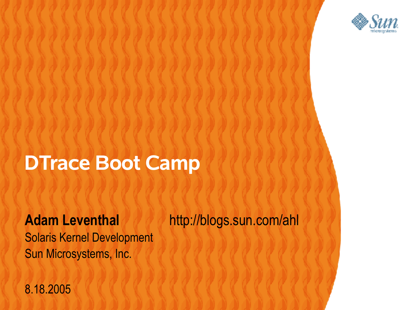

#### **DTrace Boot Camp**

,,,,,,,,,,,,,,,,,,,,,,,

Solaris Kernel Development Sun Microsystems, Inc.

**Adam Leventhal http://blogs.sun.com/ahl** 

8.18.2005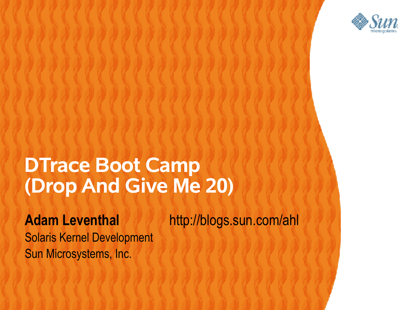

#### **DTrace Boot Camp (Drop And Give Me 20)**

けいけいけいけいけいけいけい

**Adam Leventhal http://blogs.sun.com/ahl** 

Solaris Kernel Development Sun Microsystems, Inc.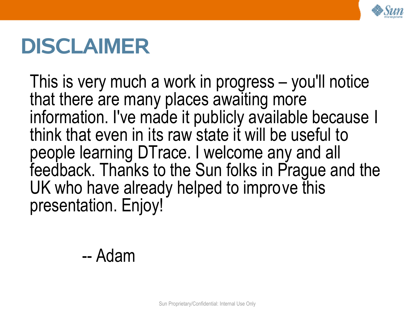

#### **DISCLAIMER**

This is very much a work in progress – you'll notice that there are many places awaiting more information. I've made it publicly available because I think that even in its raw state it will be useful to people learning DTrace. I welcome any and all feedback. Thanks to the Sun folks in Prague and the UK who have already helped to improve this presentation. Enjoy!

-- Adam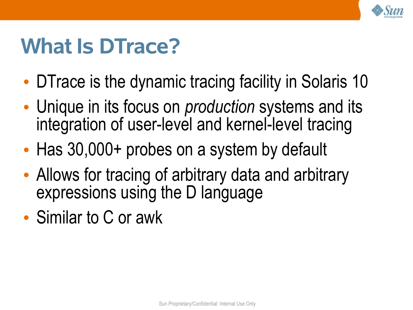

#### **What Is DTrace?**

- DTrace is the dynamic tracing facility in Solaris 10
- Unique in its focus on *production* systems and its integration of user-level and kernel-level tracing
- Has 30,000+ probes on a system by default
- Allows for tracing of arbitrary data and arbitrary expressions using the D language
- Similar to C or awk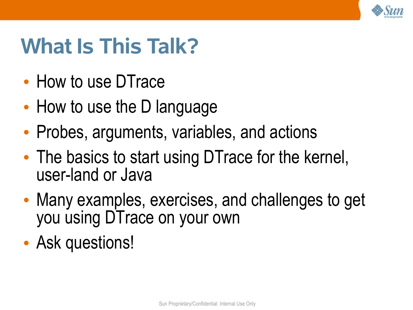

## **What Is This Talk?**

- How to use DTrace
- How to use the D language
- Probes, arguments, variables, and actions
- The basics to start using DTrace for the kernel, user-land or Java
- Many examples, exercises, and challenges to get you using DTrace on your own
- Ask questions!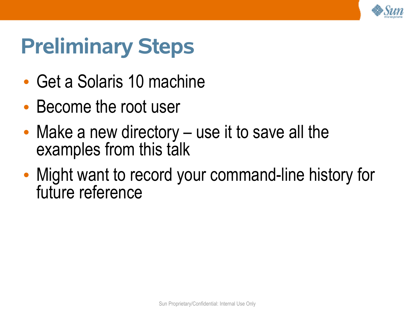

## **Preliminary Steps**

- Get a Solaris 10 machine
- Become the root user
- Make a new directory use it to save all the examples from this talk
- Might want to record your command-line history for future reference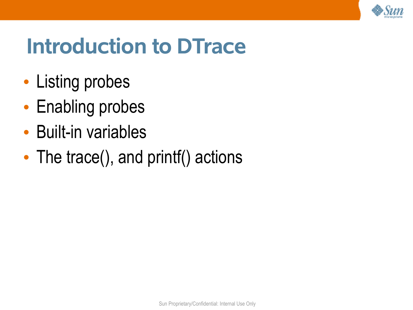

#### **Introduction to DTrace**

- Listing probes
- Enabling probes
- Built-in variables
- The trace(), and printf() actions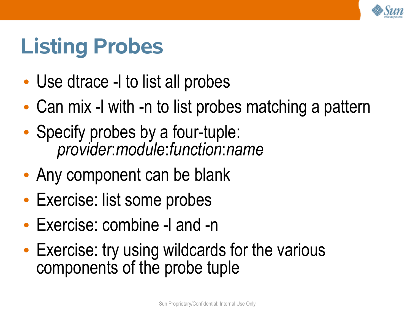

## **Listing Probes**

- Use dtrace -I to list all probes
- Can mix -l with -n to list probes matching a pattern
- Specify probes by a four-tuple: *provider*:*module*:*function*:*name*
- Any component can be blank
- Exercise: list some probes
- Exercise: combine -l and -n
- Exercise: try using wildcards for the various components of the probe tuple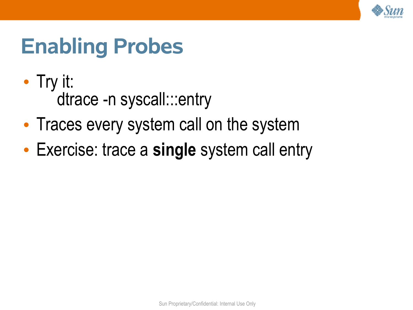

#### **Enabling Probes**

- Try it: dtrace -n syscall:::entry
- Traces every system call on the system
- Exercise: trace a **single** system call entry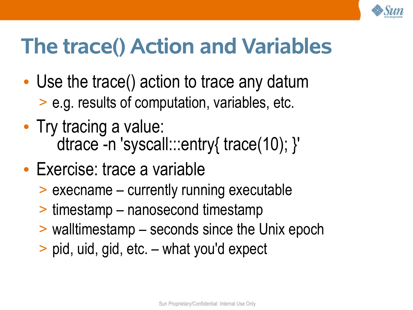

## **The trace() Action and Variables**

- Use the trace() action to trace any datum > e.g. results of computation, variables, etc.
- Try tracing a value: dtrace -n 'syscall:::entry{ trace(10); }'
- Exercise: trace a variable
	- > execname currently running executable
	- > timestamp nanosecond timestamp
	- > walltimestamp seconds since the Unix epoch
	- > pid, uid, gid, etc. what you'd expect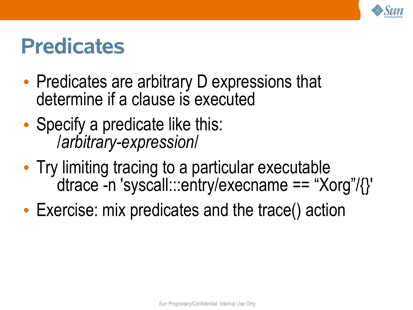

#### **Predicates**

- Predicates are arbitrary D expressions that determine if a clause is executed
- Specify a predicate like this: /*arbitrary-expression*/
- Try limiting tracing to a particular executable dtrace -n 'syscall:::entry/execname == "Xorg"/{}'
- Exercise: mix predicates and the trace() action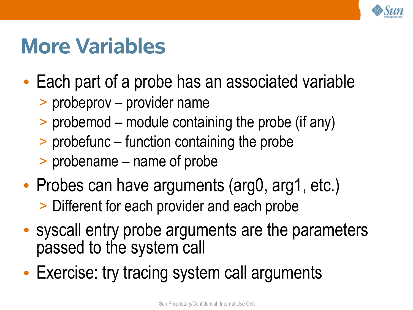

#### **More Variables**

- Each part of a probe has an associated variable
	- > probeprov provider name
	- > probemod module containing the probe (if any)
	- > probefunc function containing the probe
	- > probename name of probe
- Probes can have arguments (arg0, arg1, etc.) > Different for each provider and each probe
- syscall entry probe arguments are the parameters passed to the system call
- Exercise: try tracing system call arguments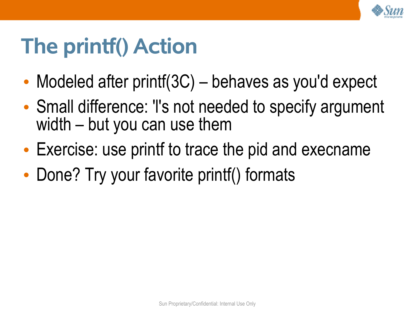

## **The printf() Action**

- Modeled after printf(3C) behaves as you'd expect
- Small difference: 'I's not needed to specify argument width – but you can use them
- Exercise: use printf to trace the pid and execname
- Done? Try your favorite printf() formats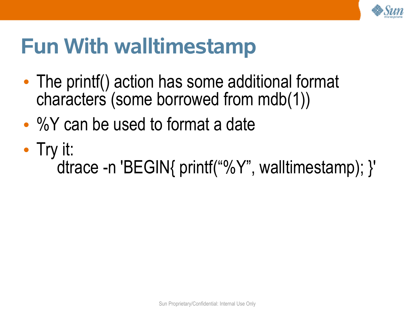

#### **Fun With walltimestamp**

- The printf() action has some additional format characters (some borrowed from mdb(1))
- %Y can be used to format a date
- Try it: dtrace -n 'BEGIN{ printf("%Y", walltimestamp); }'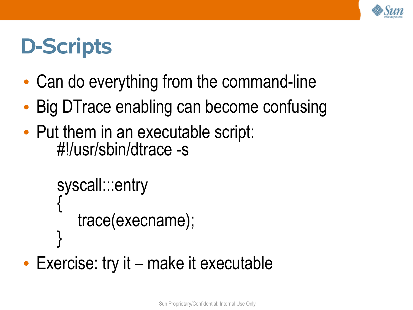

#### **D-Scripts**

- Can do everything from the command-line
- Big DTrace enabling can become confusing
- Put them in an executable script: #!/usr/sbin/dtrace -s

```
syscall:::entry
{
   trace(execname);
}
```
• Exercise: try it – make it executable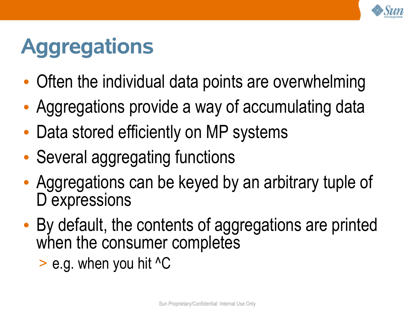

# **Aggregations**

- Often the individual data points are overwhelming
- Aggregations provide a way of accumulating data
- Data stored efficiently on MP systems
- Several aggregating functions
- Aggregations can be keyed by an arbitrary tuple of D expressions
- By default, the contents of aggregations are printed when the consumer completes
	- $>$  e.g. when you hit  $\triangle$ C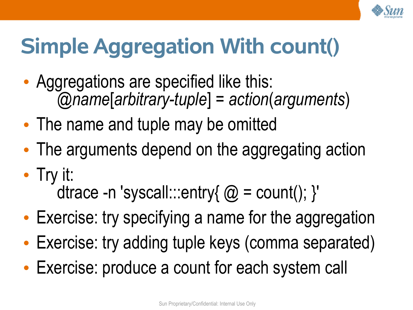

# **Simple Aggregation With count()**

- Aggregations are specified like this: @*name*[*arbitrary-tuple*] = *action*(*arguments*)
- The name and tuple may be omitted
- The arguments depend on the aggregating action
- Try it: dtrace -n 'syscall:::entry{  $@ = count$   $;$  }'
- Exercise: try specifying a name for the aggregation
- Exercise: try adding tuple keys (comma separated)
- Exercise: produce a count for each system call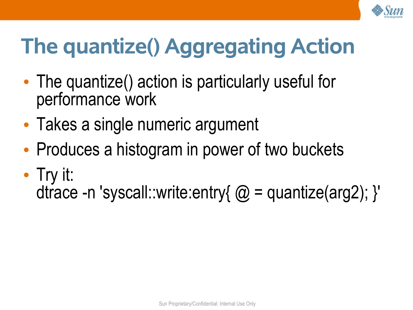

# **The quantize() Aggregating Action**

- The quantize() action is particularly useful for performance work
- Takes a single numeric argument
- Produces a histogram in power of two buckets
- Try it: dtrace -n 'syscall::write:entry{  $@ =$  quantize(arg2); }'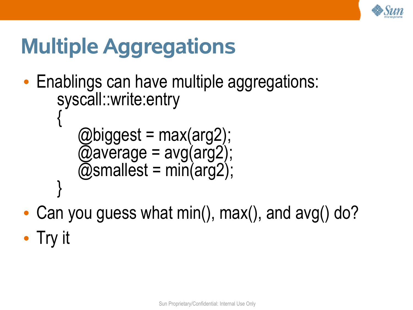

## **Multiple Aggregations**

- Enablings can have multiple aggregations: syscall::write:entry {
	- @biggest = max(arg2); @average = avg(arg2);  $\phi$ smallest = min(arg2);
- Can you guess what min(), max(), and avg() do?
- Try it

}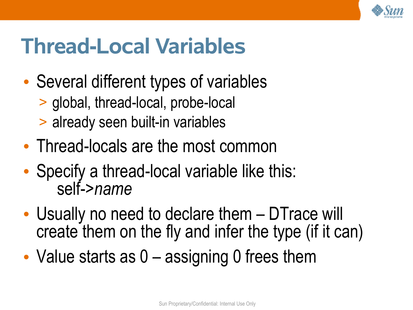

#### **Thread-Local Variables**

- Several different types of variables
	- > global, thread-local, probe-local
	- > already seen built-in variables
- Thread-locals are the most common
- Specify a thread-local variable like this: self->*name*
- Usually no need to declare them DTrace will create them on the fly and infer the type (if it can)
- Value starts as 0 assigning 0 frees them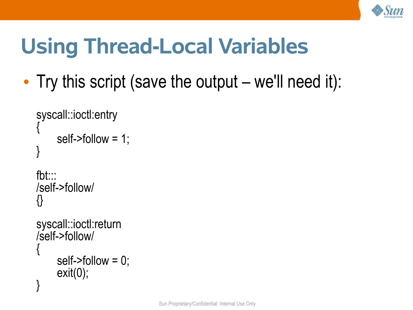

# **Using Thread-Local Variables**

• Try this script (save the output – we'll need it):

```
syscall::ioctl:entry
{
     self->follow = 1;
}
fbt:::
/self->follow/
```

```
syscall::ioctl:return
/self->follow/
{
     self->follow = 0;
    ext(0);}
```
{}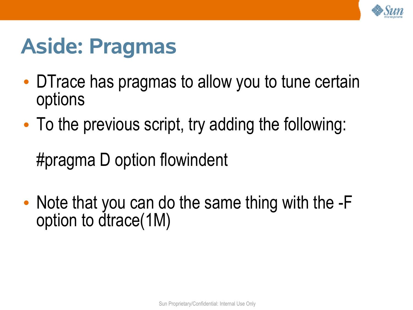

#### **Aside: Pragmas**

- DTrace has pragmas to allow you to tune certain options
- To the previous script, try adding the following:

#pragma D option flowindent

• Note that you can do the same thing with the -F option to dtrace(1M)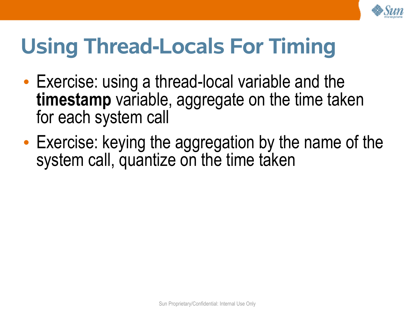

## **Using Thread-Locals For Timing**

- Exercise: using a thread-local variable and the **timestamp** variable, aggregate on the time taken for each system call
- Exercise: keying the aggregation by the name of the system call, quantize on the time taken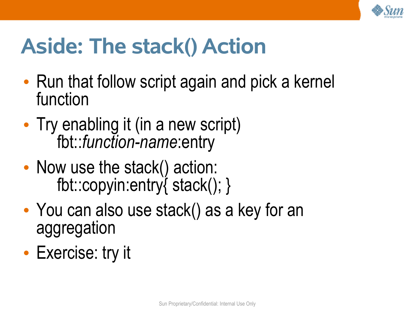

## **Aside: The stack() Action**

- Run that follow script again and pick a kernel function
- Try enabling it (in a new script) fbt::*function-name*:entry
- Now use the stack() action: fbt::copyin:entry{ stack(); }
- You can also use stack() as a key for an aggregation
- Exercise: try it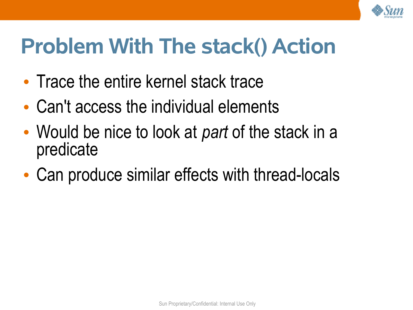

#### **Problem With The stack() Action**

- Trace the entire kernel stack trace
- Can't access the individual elements
- Would be nice to look at *part* of the stack in a predicate
- Can produce similar effects with thread-locals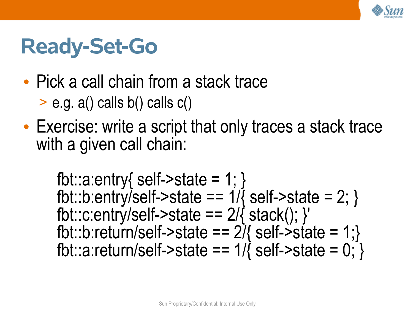

#### **Ready-Set-Go**

• Pick a call chain from a stack trace

 $>$  e.g. a() calls b() calls c()

• Exercise: write a script that only traces a stack trace with a given call chain:

fbt::a:entry{ self- $\ge$ state = 1; } fbt::b:entry/self->state ==  $1/\sqrt{2}$  self->state = 2; } fbt::c:entry/self->state ==  $2/\sqrt{5}$  stack();  $\}$ ' fbt::b:return/self->state ==  $2\overline{l}$ { self->state = 1;} fbt::a:return/self->state ==  $1/\sqrt{2}$  self->state =  $0;\}$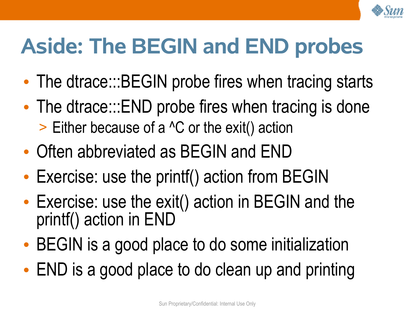

## **Aside: The BEGIN and END probes**

- The dtrace:::BEGIN probe fires when tracing starts
- The dtrace:::END probe fires when tracing is done
	- > Either because of a ^C or the exit() action
- Often abbreviated as BEGIN and END
- Exercise: use the printf() action from BEGIN
- Exercise: use the exit() action in BEGIN and the printf() action in END
- BEGIN is a good place to do some initialization
- END is a good place to do clean up and printing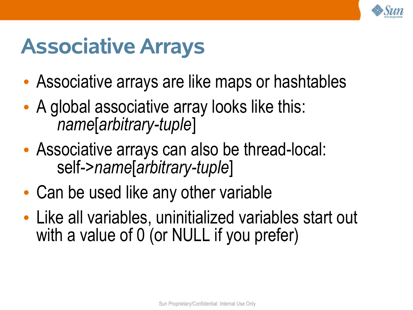

#### **Associative Arrays**

- Associative arrays are like maps or hashtables
- A global associative array looks like this: *name*[*arbitrary-tuple*]
- Associative arrays can also be thread-local: self->*name*[*arbitrary-tuple*]
- Can be used like any other variable
- Like all variables, uninitialized variables start out with a value of 0 (or NULL if you prefer)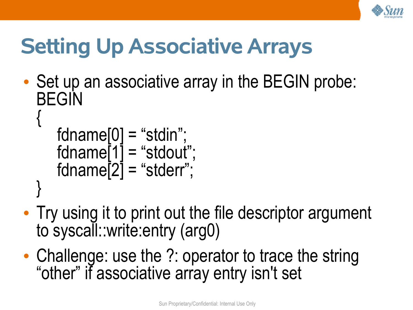

# **Setting Up Associative Arrays**

• Set up an associative array in the BEGIN probe: BEGIN {

```
fdname[0] = "stdin";
fdname[1] = "stdout";
fdname\overline{[2]} = "stderr";
```
}

- Try using it to print out the file descriptor argument to syscall::write:entry (arg0)
- Challenge: use the ?: operator to trace the string "other" if associative array entry isn't set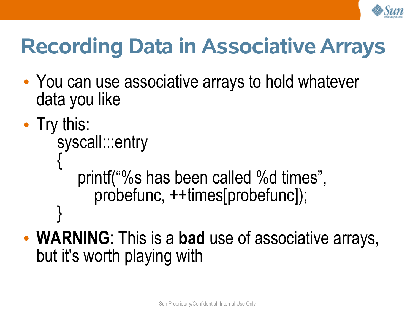

# **Recording Data in Associative Arrays**

- You can use associative arrays to hold whatever data you like
- Try this:

}

syscall:::entry {

printf("%s has been called %d times", probefunc, ++times[probefunc]);

• **WARNING**: This is a **bad** use of associative arrays, but it's worth playing with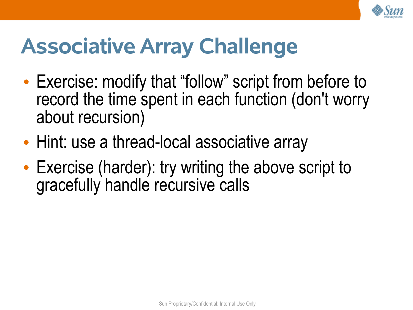

## **Associative Array Challenge**

- Exercise: modify that "follow" script from before to record the time spent in each function (don't worry about recursion)
- Hint: use a thread-local associative array
- Exercise (harder): try writing the above script to gracefully handle recursive calls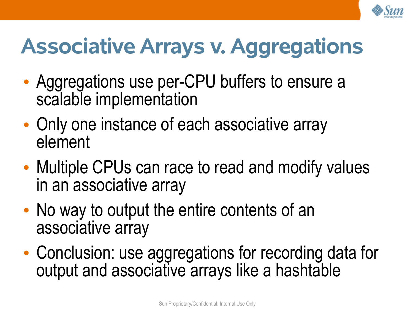

## **Associative Arrays v. Aggregations**

- Aggregations use per-CPU buffers to ensure a scalable implementation
- Only one instance of each associative array element
- Multiple CPUs can race to read and modify values in an associative array
- No way to output the entire contents of an associative array
- Conclusion: use aggregations for recording data for output and associative arrays like a hashtable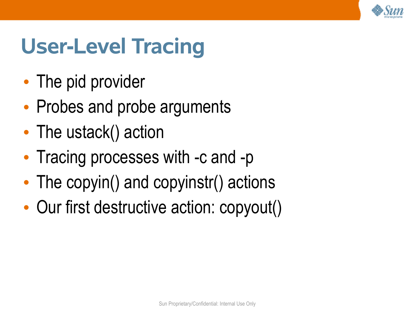

## **User-Level Tracing**

- The pid provider
- Probes and probe arguments
- The ustack() action
- Tracing processes with -c and -p
- The copyin() and copyinstr() actions
- Our first destructive action: copyout()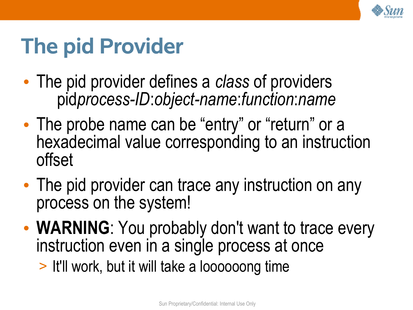

## **The pid Provider**

- The pid provider defines a *class* of providers pid*process-ID*:*object-name*:*function*:*name*
- The probe name can be "entry" or "return" or a hexadecimal value corresponding to an instruction offset
- The pid provider can trace any instruction on any process on the system!
- **WARNING**: You probably don't want to trace every instruction even in a single process at once
	- > It'll work, but it will take a loooooong time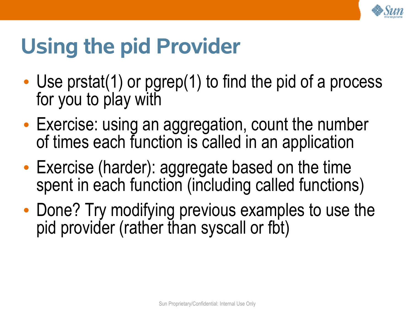

## **Using the pid Provider**

- Use prstat(1) or pgrep(1) to find the pid of a process for you to play with
- Exercise: using an aggregation, count the number of times each function is called in an application
- Exercise (harder): aggregate based on the time spent in each function (including called functions)
- Done? Try modifying previous examples to use the pid provider (rather than syscall or fbt)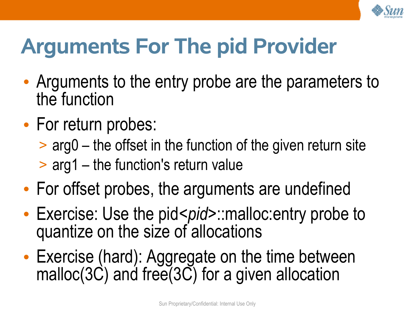

# **Arguments For The pid Provider**

- Arguments to the entry probe are the parameters to the function
- For return probes:
	- > arg0 the offset in the function of the given return site
	- > arg1 the function's return value
- For offset probes, the arguments are undefined
- Exercise: Use the pid<*pid*>::malloc:entry probe to quantize on the size of allocations
- Exercise (hard): Aggregate on the time between malloc(3C) and free(3C) for a given allocation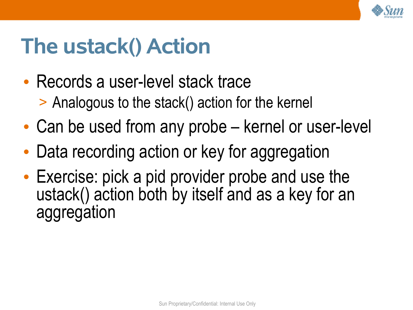

#### **The ustack() Action**

- Records a user-level stack trace > Analogous to the stack() action for the kernel
- Can be used from any probe kernel or user-level
- Data recording action or key for aggregation
- Exercise: pick a pid provider probe and use the ustack() action both by itself and as a key for an aggregation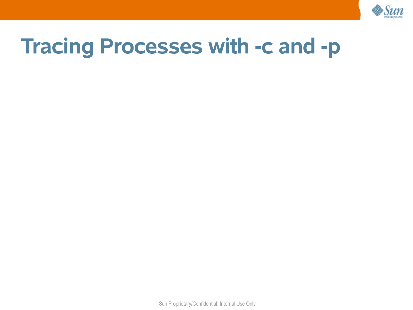

#### **Tracing Processes with -c and -p**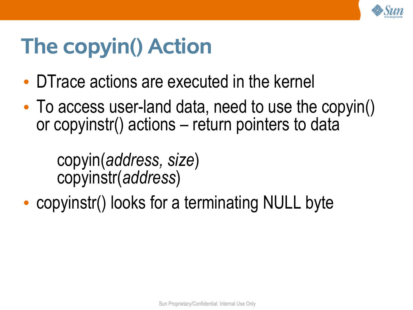

## **The copyin() Action**

- DTrace actions are executed in the kernel
- To access user-land data, need to use the copyin() or copyinstr() actions – return pointers to data

copyin(*address, size*) copyinstr(*address*)

• copyinstr() looks for a terminating NULL byte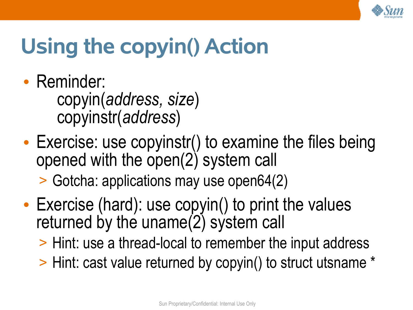

# **Using the copyin() Action**

- Reminder: copyin(*address, size*) copyinstr(*address*)
- Exercise: use copyinstr() to examine the files being opened with the open(2) system call

> Gotcha: applications may use open64(2)

- Exercise (hard): use copyin() to print the values returned by the uname $(2)$  system call
	- > Hint: use a thread-local to remember the input address
	- > Hint: cast value returned by copyin() to struct utsname \*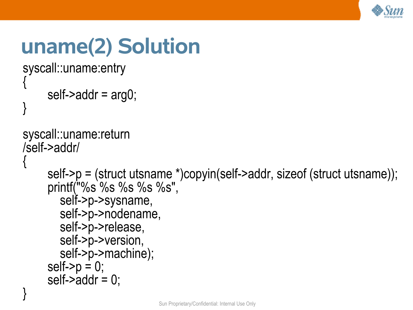

## **uname(2) Solution**

```
syscall::uname:entry
{
```

```
 self->addr = arg0;
```

```
syscall::uname:return
/self->addr/
```

```
{
```
}

}

```
 self->p = (struct utsname *)copyin(self->addr, sizeof (struct utsname));
 printf("%s %s %s %s %s",
   self->p->sysname,
   self->p->nodename,
  self->p->release,
   self->p->version,
   self->p->machine);
self-p = 0;self-\geqaddr = 0;
```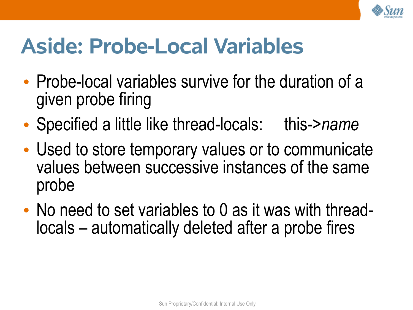

## **Aside: Probe-Local Variables**

- Probe-local variables survive for the duration of a given probe firing
- Specified a little like thread-locals: this->*name*
- Used to store temporary values or to communicate values between successive instances of the same probe
- No need to set variables to 0 as it was with threadlocals – automatically deleted after a probe fires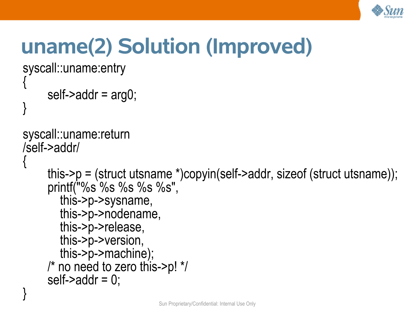

# **uname(2) Solution (Improved)**

syscall::uname:entry {

```
 self->addr = arg0;
```

```
syscall::uname:return
/self->addr/
```

```
{
```
}

}

```
 this->p = (struct utsname *)copyin(self->addr, sizeof (struct utsname));
 printf("%s %s %s %s %s",
   this->p->sysname,
   this->p->nodename,
   this->p->release,
   this->p->version,
   this->p->machine);
 /* no need to zero this->p! */
self-\geqaddr = 0;
```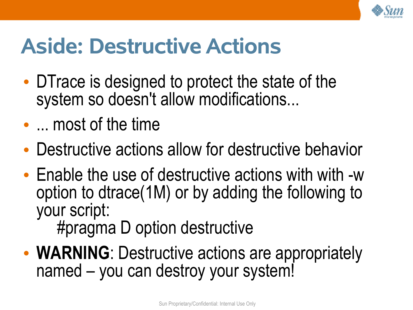

## **Aside: Destructive Actions**

- DTrace is designed to protect the state of the system so doesn't allow modifications...
- ... most of the time
- Destructive actions allow for destructive behavior
- Enable the use of destructive actions with with -w option to dtrace(1M) or by adding the following to your script:

#pragma D option destructive

• **WARNING**: Destructive actions are appropriately named – you can destroy your system!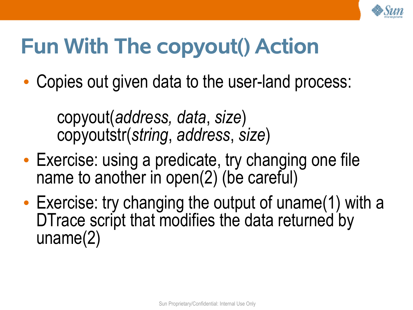

## **Fun With The copyout() Action**

• Copies out given data to the user-land process:

copyout(*address, data*, *size*) copyoutstr(*string*, *address*, *size*)

- Exercise: using a predicate, try changing one file name to another in open(2) (be careful)
- Exercise: try changing the output of uname(1) with a DTrace script that modifies the data returned by uname(2)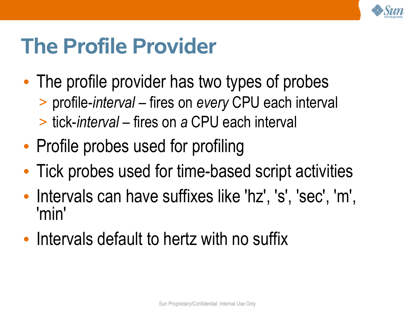

#### **The Profile Provider**

- The profile provider has two types of probes > profile-*interval* – fires on *every* CPU each interval > tick-*interval* – fires on *a* CPU each interval
- Profile probes used for profiling
- Tick probes used for time-based script activities
- Intervals can have suffixes like 'hz', 's', 'sec', 'm', 'min'
- Intervals default to hertz with no suffix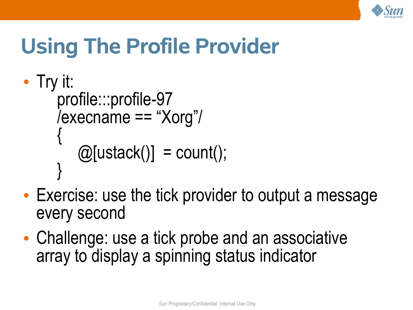

## **Using The Profile Provider**

```
• Try it:
     profile:::profile-97
     /execname == "Xorg"/
      {
         \omega[ustack()] = count();
      }
```
- Exercise: use the tick provider to output a message every second
- Challenge: use a tick probe and an associative array to display a spinning status indicator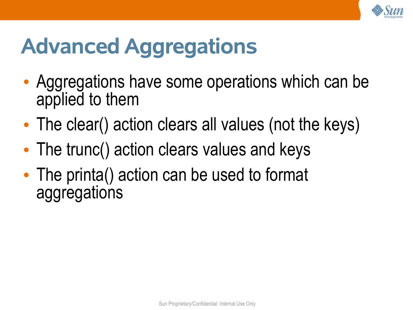

# **Advanced Aggregations**

- Aggregations have some operations which can be applied to them
- The clear() action clears all values (not the keys)
- The trunc() action clears values and keys
- The printa() action can be used to format aggregations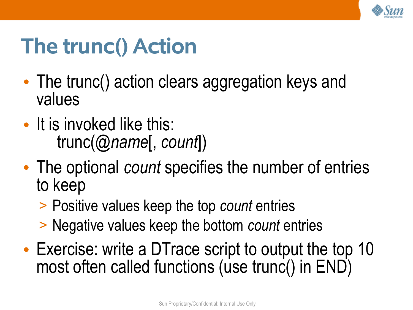

## **The trunc() Action**

- The trunc() action clears aggregation keys and values
- It is invoked like this: trunc(@*name*[, *count*])
- The optional *count* specifies the number of entries to keep
	- > Positive values keep the top *count* entries
	- > Negative values keep the bottom *count* entries
- Exercise: write a DTrace script to output the top 10 most often called functions (use trunc() in END)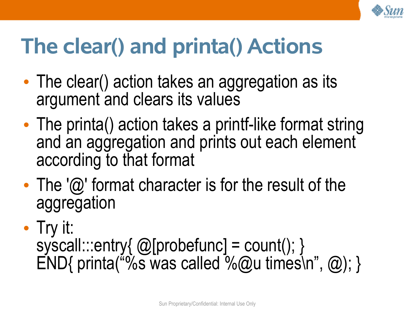

## **The clear() and printa() Actions**

- The clear() action takes an aggregation as its argument and clears its values
- The printa() action takes a printf-like format string and an aggregation and prints out each element according to that format
- The ' $\omega$ ' format character is for the result of the aggregation
- Try it: syscall:::entry{ @[probefunc] = count(); }  $END{$  printa("%s was called %@u times\n", @); }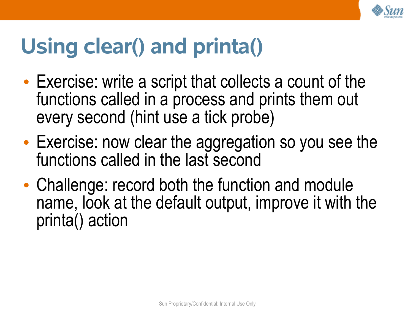

## **Using clear() and printa()**

- Exercise: write a script that collects a count of the functions called in a process and prints them out every second (hint use a tick probe)
- Exercise: now clear the aggregation so you see the functions called in the last second
- Challenge: record both the function and module name, look at the default output, improve it with the printa() action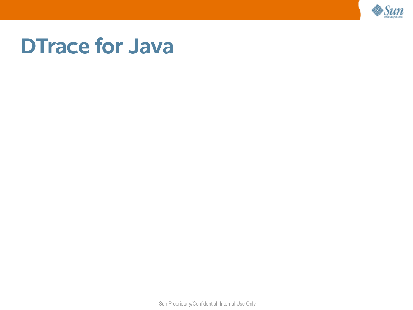

#### **DTrace for Java**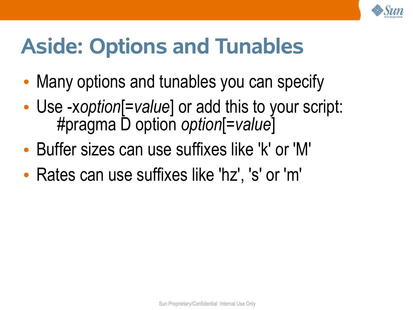

## **Aside: Options and Tunables**

- Many options and tunables you can specify
- Use -x*option*[=*value*] or add this to your script: #pragma D option *option*[=*value*]
- Buffer sizes can use suffixes like 'k' or 'M'
- Rates can use suffixes like 'hz', 's' or 'm'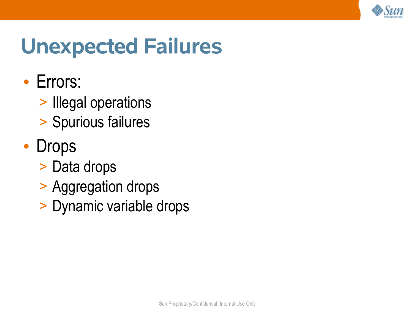

#### **Unexpected Failures**

- Errors:
	- > Illegal operations
	- > Spurious failures
- Drops
	- > Data drops
	- > Aggregation drops
	- > Dynamic variable drops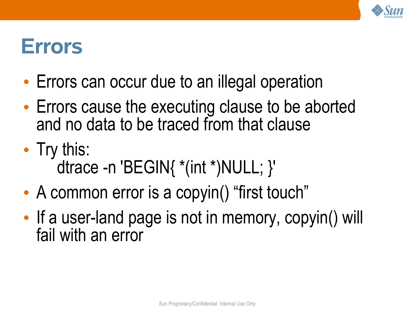

#### **Errors**

- Errors can occur due to an illegal operation
- Errors cause the executing clause to be aborted and no data to be traced from that clause
- Try this: dtrace -n 'BEGIN{ \*(int \*)NULL; }'
- A common error is a copyin() "first touch"
- If a user-land page is not in memory, copyin() will fail with an error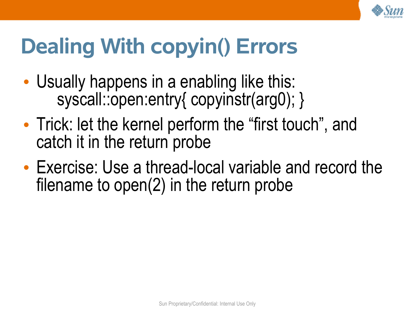

## **Dealing With copyin() Errors**

- Usually happens in a enabling like this: syscall::open:entry{ copyinstr(arg0); }
- Trick: let the kernel perform the "first touch", and catch it in the return probe
- Exercise: Use a thread-local variable and record the filename to open(2) in the return probe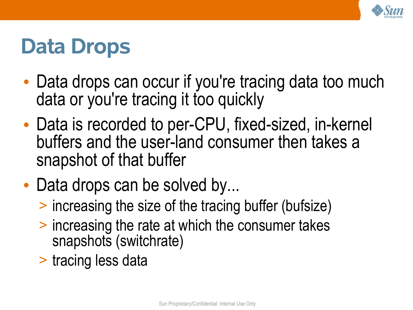

#### **Data Drops**

- Data drops can occur if you're tracing data too much data or you're tracing it too quickly
- Data is recorded to per-CPU, fixed-sized, in-kernel buffers and the user-land consumer then takes a snapshot of that buffer
- Data drops can be solved by...
	- > increasing the size of the tracing buffer (bufsize)
	- > increasing the rate at which the consumer takes snapshots (switchrate)
	- > tracing less data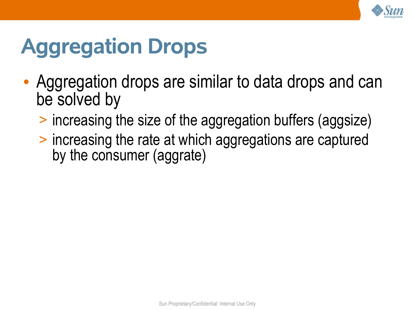

## **Aggregation Drops**

- Aggregation drops are similar to data drops and can be solved by
	- > increasing the size of the aggregation buffers (aggsize)
	- > increasing the rate at which aggregations are captured by the consumer (aggrate)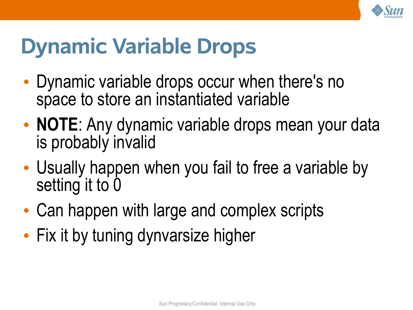

#### **Dynamic Variable Drops**

- Dynamic variable drops occur when there's no space to store an instantiated variable
- **NOTE**: Any dynamic variable drops mean your data is probably invalid
- Usually happen when you fail to free a variable by setting it to 0
- Can happen with large and complex scripts
- Fix it by tuning dynvarsize higher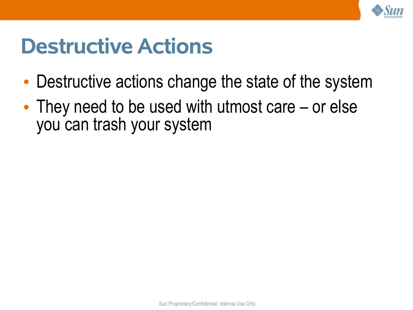

#### **Destructive Actions**

- Destructive actions change the state of the system
- They need to be used with utmost care or else you can trash your system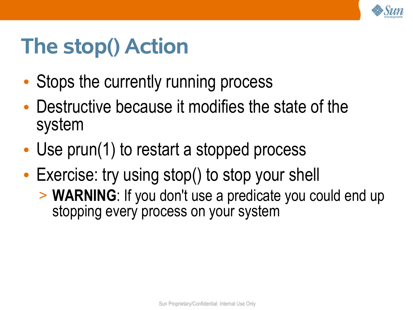

## **The stop() Action**

- Stops the currently running process
- Destructive because it modifies the state of the system
- Use prun(1) to restart a stopped process
- Exercise: try using stop() to stop your shell
	- > **WARNING**: If you don't use a predicate you could end up stopping every process on your system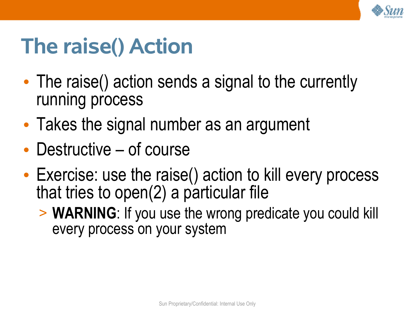

## **The raise() Action**

- The raise() action sends a signal to the currently running process
- Takes the signal number as an argument
- Destructive of course
- Exercise: use the raise() action to kill every process that tries to open(2) a particular file
	- > **WARNING**: If you use the wrong predicate you could kill every process on your system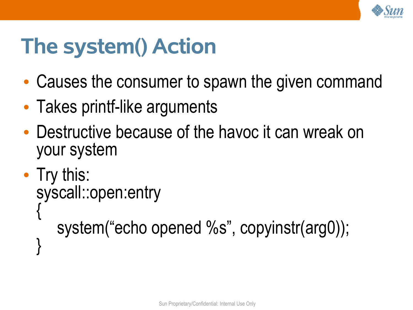

## **The system() Action**

- Causes the consumer to spawn the given command
- Takes printf-like arguments
- Destructive because of the havoc it can wreak on your system

```
• Try this:
 syscall::open:entry
  {
     system("echo opened %s", copyinstr(arg0));
  }
```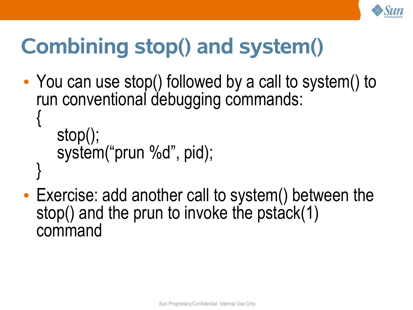

## **Combining stop() and system()**

• You can use stop() followed by a call to system() to run conventional debugging commands: {

```
stop();
system("prun %d", pid);
```
}

• Exercise: add another call to system() between the stop() and the prun to invoke the pstack(1) command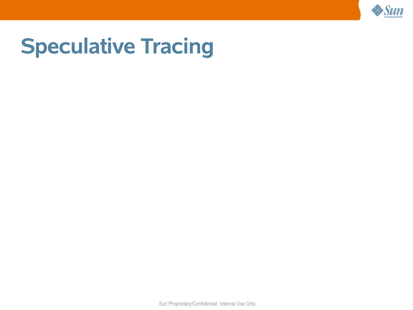

#### **Speculative Tracing**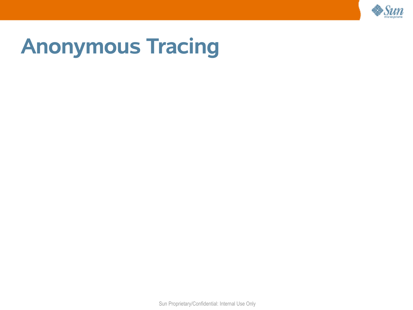

#### **Anonymous Tracing**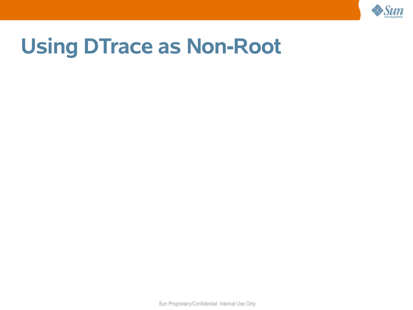

#### **Using DTrace as Non-Root**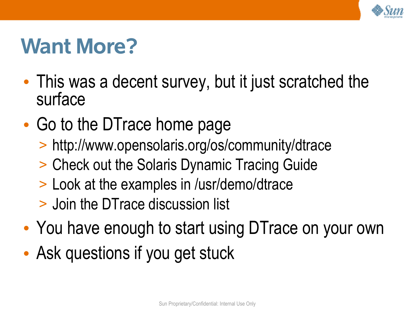

#### **Want More?**

- This was a decent survey, but it just scratched the surface
- Go to the DTrace home page
	- > http://www.opensolaris.org/os/community/dtrace
	- > Check out the Solaris Dynamic Tracing Guide
	- > Look at the examples in /usr/demo/dtrace
	- > Join the DTrace discussion list
- You have enough to start using DTrace on your own
- Ask questions if you get stuck